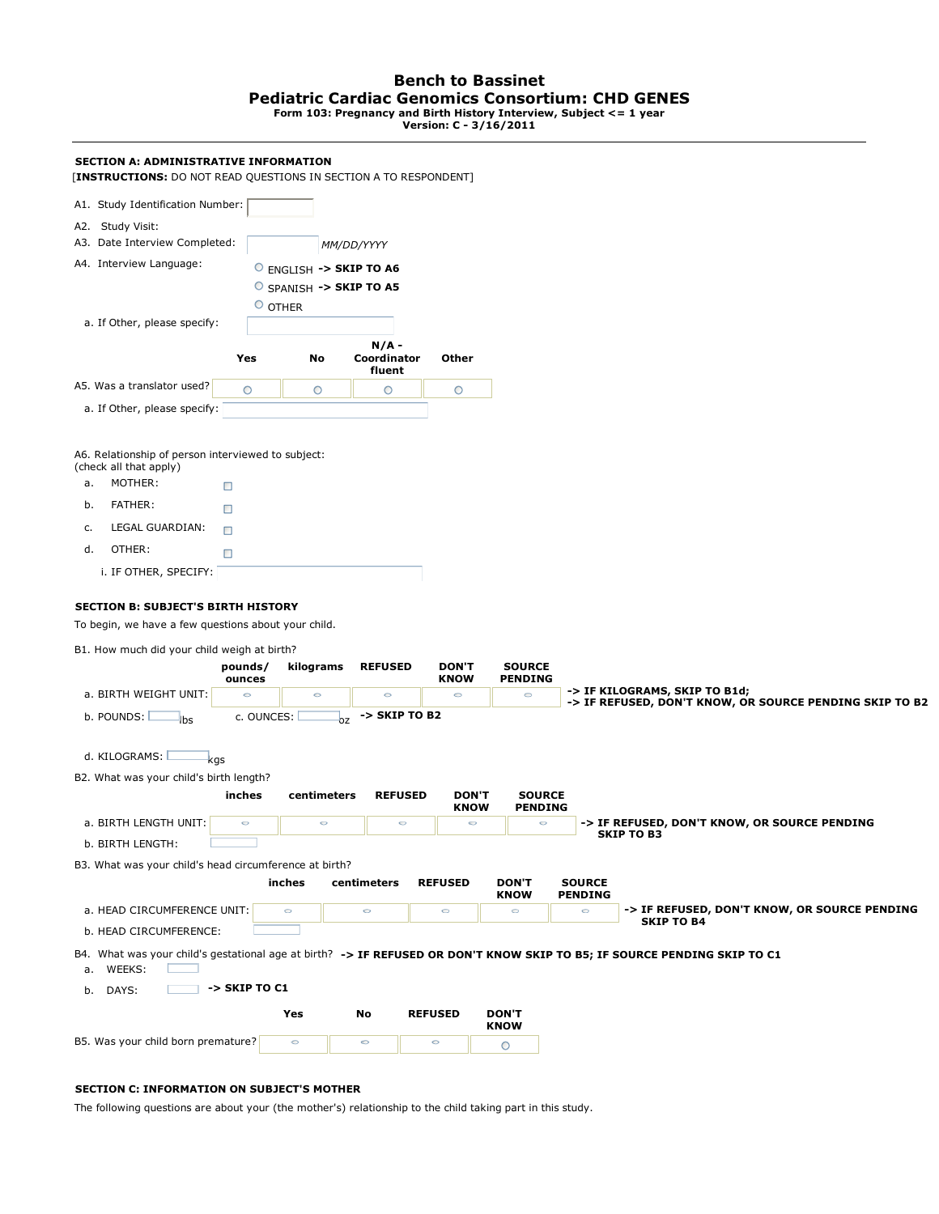# **Bench to Bassinet Pediatric Cardiac Genomics Consortium: CHD GENES**

**Form 103: Pregnancy and Birth History Interview, Subject <= 1 year Version: C - 3/16/2011**

| SECTION A: ADMINISTRATIVE INFORMATION<br>[INSTRUCTIONS: DO NOT READ QUESTIONS IN SECTION A TO RESPONDENT]                                                                                                                                                                                                                                            |                                            |                               |                                            |                                        |                                            |                           |                                                                                                                          |
|------------------------------------------------------------------------------------------------------------------------------------------------------------------------------------------------------------------------------------------------------------------------------------------------------------------------------------------------------|--------------------------------------------|-------------------------------|--------------------------------------------|----------------------------------------|--------------------------------------------|---------------------------|--------------------------------------------------------------------------------------------------------------------------|
| A1. Study Identification Number:                                                                                                                                                                                                                                                                                                                     |                                            |                               |                                            |                                        |                                            |                           |                                                                                                                          |
| A2. Study Visit:<br>A3. Date Interview Completed:                                                                                                                                                                                                                                                                                                    |                                            |                               | MM/DD/YYYY                                 |                                        |                                            |                           |                                                                                                                          |
| A4. Interview Language:                                                                                                                                                                                                                                                                                                                              |                                            | $\circ$ ENGLISH -> SKIP TO A6 |                                            |                                        |                                            |                           |                                                                                                                          |
|                                                                                                                                                                                                                                                                                                                                                      |                                            | SPANISH -> SKIP TO A5         |                                            |                                        |                                            |                           |                                                                                                                          |
|                                                                                                                                                                                                                                                                                                                                                      |                                            | O OTHER                       |                                            |                                        |                                            |                           |                                                                                                                          |
| a. If Other, please specify:                                                                                                                                                                                                                                                                                                                         |                                            |                               |                                            |                                        |                                            |                           |                                                                                                                          |
|                                                                                                                                                                                                                                                                                                                                                      | Yes                                        | No                            | $N/A -$<br>Coordinator<br>fluent           | Other                                  |                                            |                           |                                                                                                                          |
| A5. Was a translator used?                                                                                                                                                                                                                                                                                                                           | O                                          | $\circ$                       | O                                          | O                                      |                                            |                           |                                                                                                                          |
| a. If Other, please specify:                                                                                                                                                                                                                                                                                                                         |                                            |                               |                                            |                                        |                                            |                           |                                                                                                                          |
| MOTHER:<br>a.<br>□<br>FATHER:<br>b.<br>□<br>LEGAL GUARDIAN:<br>c.<br>□<br>d.<br>OTHER:<br>□<br>i. IF OTHER, SPECIFY:<br><b>SECTION B: SUBJECT'S BIRTH HISTORY</b><br>To begin, we have a few questions about your child.<br>B1. How much did your child weigh at birth?<br>a. BIRTH WEIGHT UNIT:<br>b. POUNDS:<br><b>lbs</b><br>d. KILOGRAMS:<br>kgs | pounds/<br>ounces<br>$\circ$<br>c. OUNCES: | kilograms<br>$\circ$<br>0Z    | <b>REFUSED</b><br>$\circ$<br>-> SKIP TO B2 | <b>DON'T</b><br><b>KNOW</b><br>$\circ$ | <b>SOURCE</b><br><b>PENDING</b><br>$\circ$ |                           | -> IF KILOGRAMS, SKIP TO B1d;<br>-> IF REFUSED, DON'T KNOW, OR SOURCE PENDING SKIP TO B2                                 |
| B2. What was your child's birth length?                                                                                                                                                                                                                                                                                                              |                                            |                               |                                            |                                        |                                            |                           |                                                                                                                          |
|                                                                                                                                                                                                                                                                                                                                                      | inches                                     | centimeters                   | <b>REFUSED</b>                             | <b>DON'T</b><br><b>KNOW</b>            | <b>SOURCE</b><br><b>PENDING</b>            |                           |                                                                                                                          |
| a. BIRTH LENGTH UNIT:                                                                                                                                                                                                                                                                                                                                | $\circ$                                    | $\circ$                       | $\circ$                                    | $\circ$                                | $\circ$                                    |                           | -> IF REFUSED, DON'T KNOW, OR SOURCE PENDING                                                                             |
| b. BIRTH LENGTH:                                                                                                                                                                                                                                                                                                                                     |                                            |                               |                                            |                                        |                                            |                           | <b>SKIP TO B3</b>                                                                                                        |
| B3. What was your child's head circumference at birth?                                                                                                                                                                                                                                                                                               |                                            |                               |                                            |                                        |                                            |                           |                                                                                                                          |
|                                                                                                                                                                                                                                                                                                                                                      |                                            | inches                        | centimeters                                | <b>REFUSED</b>                         | <b>DON'T</b>                               | <b>SOURCE</b>             |                                                                                                                          |
| a. HEAD CIRCUMFERENCE UNIT:                                                                                                                                                                                                                                                                                                                          |                                            | $\circ$                       | $\circ$                                    | $\circ$                                | <b>KNOW</b><br>$\circ$                     | <b>PENDING</b><br>$\circ$ | -> IF REFUSED, DON'T KNOW, OR SOURCE PENDING                                                                             |
| b. HEAD CIRCUMFERENCE:                                                                                                                                                                                                                                                                                                                               |                                            |                               |                                            |                                        |                                            |                           | <b>SKIP TO B4</b>                                                                                                        |
| a. WEEKS:                                                                                                                                                                                                                                                                                                                                            |                                            |                               |                                            |                                        |                                            |                           | B4. What was your child's gestational age at birth? -> IF REFUSED OR DON'T KNOW SKIP TO B5; IF SOURCE PENDING SKIP TO C1 |
| b. DAYS:                                                                                                                                                                                                                                                                                                                                             | -> SKIP TO C1                              |                               |                                            |                                        |                                            |                           |                                                                                                                          |
|                                                                                                                                                                                                                                                                                                                                                      |                                            | Yes                           | No                                         | <b>REFUSED</b>                         | <b>DON'T</b><br><b>KNOW</b>                |                           |                                                                                                                          |
| B5. Was your child born premature?                                                                                                                                                                                                                                                                                                                   |                                            | $\circ$                       | $\circ$                                    | $\circ$                                | O                                          |                           |                                                                                                                          |

## **SECTION C: INFORMATION ON SUBJECT'S MOTHER**

The following questions are about your (the mother's) relationship to the child taking part in this study.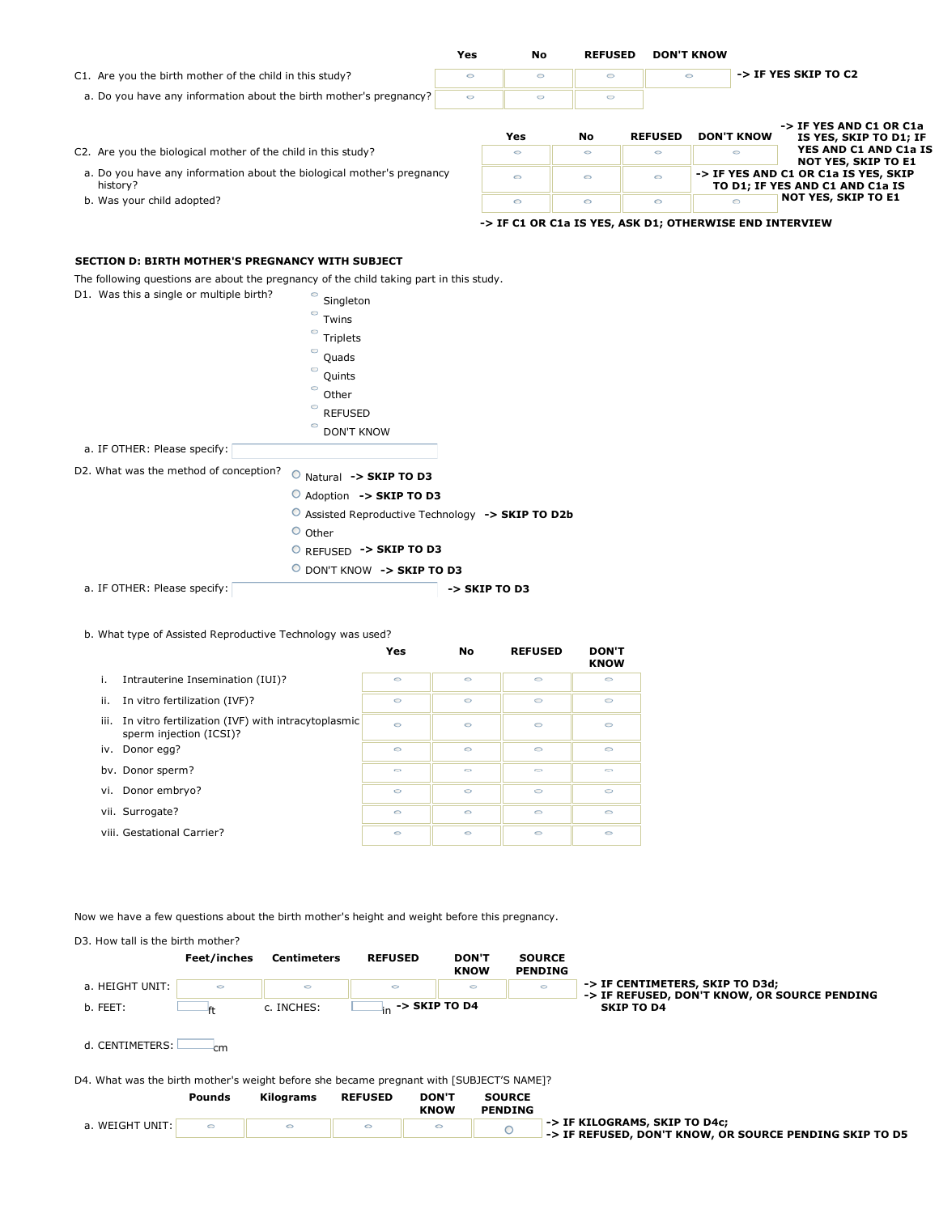|                                                                                    | Yes     | No      | <b>REFUSED</b> | <b>DON'T KNOW</b> |                   |                                                                         |  |  |
|------------------------------------------------------------------------------------|---------|---------|----------------|-------------------|-------------------|-------------------------------------------------------------------------|--|--|
| C1. Are you the birth mother of the child in this study?                           |         | $\circ$ | $\circ$        | $\bigcap$         |                   | -> IF YES SKIP TO C2                                                    |  |  |
| a. Do you have any information about the birth mother's pregnancy?                 | $\circ$ | $\circ$ | $\circ$        |                   |                   |                                                                         |  |  |
|                                                                                    |         | Yes     | No             | <b>REFUSED</b>    | <b>DON'T KNOW</b> | -> IF YES AND C1 OR C1a<br>IS YES, SKIP TO D1; IF                       |  |  |
| C2. Are you the biological mother of the child in this study?                      |         | $\circ$ | $\circ$        | $\circ$           | Ó                 | YES AND C1 AND C1a IS<br><b>NOT YES, SKIP TO E1</b>                     |  |  |
| a. Do you have any information about the biological mother's pregnancy<br>history? |         | $\circ$ | $\circ$        | $\circ$           |                   | -> IF YES AND C1 OR C1a IS YES, SKIP<br>TO D1; IF YES AND C1 AND C1a IS |  |  |
| b. Was your child adopted?                                                         |         | $\circ$ | $\circ$        | $\circ$           | O                 | <b>NOT YES, SKIP TO E1</b>                                              |  |  |
|                                                                                    |         |         |                |                   |                   | -> IF C1 OR C1a IS YES, ASK D1; OTHERWISE END INTERVIEW                 |  |  |

# **SECTION D: BIRTH MOTHER'S PREGNANCY WITH SUBJECT**

The following questions are about the pregnancy of the child taking part in this study.

D1. Was this a single or multiple birth?  $\circ$  Singleton Twins  $\circ$ Triplets  $\circ$ Quads  $\circ$ Quints Other  $\circ$ REFUSED DON'T KNOW a. IF OTHER: Please specify: D2. What was the method of conception? O Natural -> SKIP TO D3 Adoption **-> SKIP TO D3** Assisted Reproductive Technology **-> SKIP TO D2b**  $O$  Other REFUSED **-> SKIP TO D3** DON'T KNOW **-> SKIP TO D3**

 a. IF OTHER: Please specify: **-> SKIP TO D3**

### b. What type of Assisted Reproductive Technology was used?

|                                                                                    | Yes     | No      | <b>REFUSED</b> | <b>DON'T</b><br><b>KNOW</b> |
|------------------------------------------------------------------------------------|---------|---------|----------------|-----------------------------|
| i.<br>Intrauterine Insemination (IUI)?                                             | $\circ$ | $\circ$ | $\circ$        | $\circ$                     |
| In vitro fertilization (IVF)?<br>ii.                                               | $\circ$ | $\circ$ | $\circ$        | $\circ$                     |
| iii. In vitro fertilization (IVF) with intracytoplasmic<br>sperm injection (ICSI)? | $\circ$ | $\circ$ | $\circ$        | $\circ$                     |
| iv. Donor egg?                                                                     | $\circ$ | $\circ$ | $\circ$        | $\circ$                     |
| by. Donor sperm?                                                                   | $\sim$  | $\sim$  | $\bigcirc$     | $\sqrt{2}$                  |
| vi. Donor embryo?                                                                  | $\circ$ | $\circ$ | $\circ$        | $\circ$                     |
| vii. Surrogate?                                                                    | $\circ$ | $\circ$ | $\circ$        | $\circ$                     |
| viii. Gestational Carrier?                                                         | $\circ$ | $\circ$ | $\circ$        | $\circ$                     |

Now we have a few questions about the birth mother's height and weight before this pregnancy.

D3. How tall is the birth mother? **Feet/inches Centimeters REFUSED DON'T SOURCE KNOW PENDING -> IF CENTIMETERS, SKIP TO D3d;**  a. HEIGHT UNIT:  $\overline{\circ}$  $\epsilon$  $\circ$ **-> IF REFUSED, DON'T KNOW, OR SOURCE PENDING 1**<sub>in</sub> -> SKIP TO D4 b. FEET:  $\qquad \qquad \qquad \mathsf{f}$  c. INCHES: d. CENTIMETERS: cm D4. What was the birth mother's weight before she became pregnant with [SUBJECT'S NAME]? **Pounds Kilograms REFUSED DON'T SOURCE KNOW PENDING** a. WEIGHT UNIT:  $\circ$  $\circ$ **-> IF KILOGRAMS, SKIP TO D4c; -> IF REFUSED, DON'T KNOW, OR SOURCE PENDING SKIP TO D5** $\circ$  $\circ$  $\circ$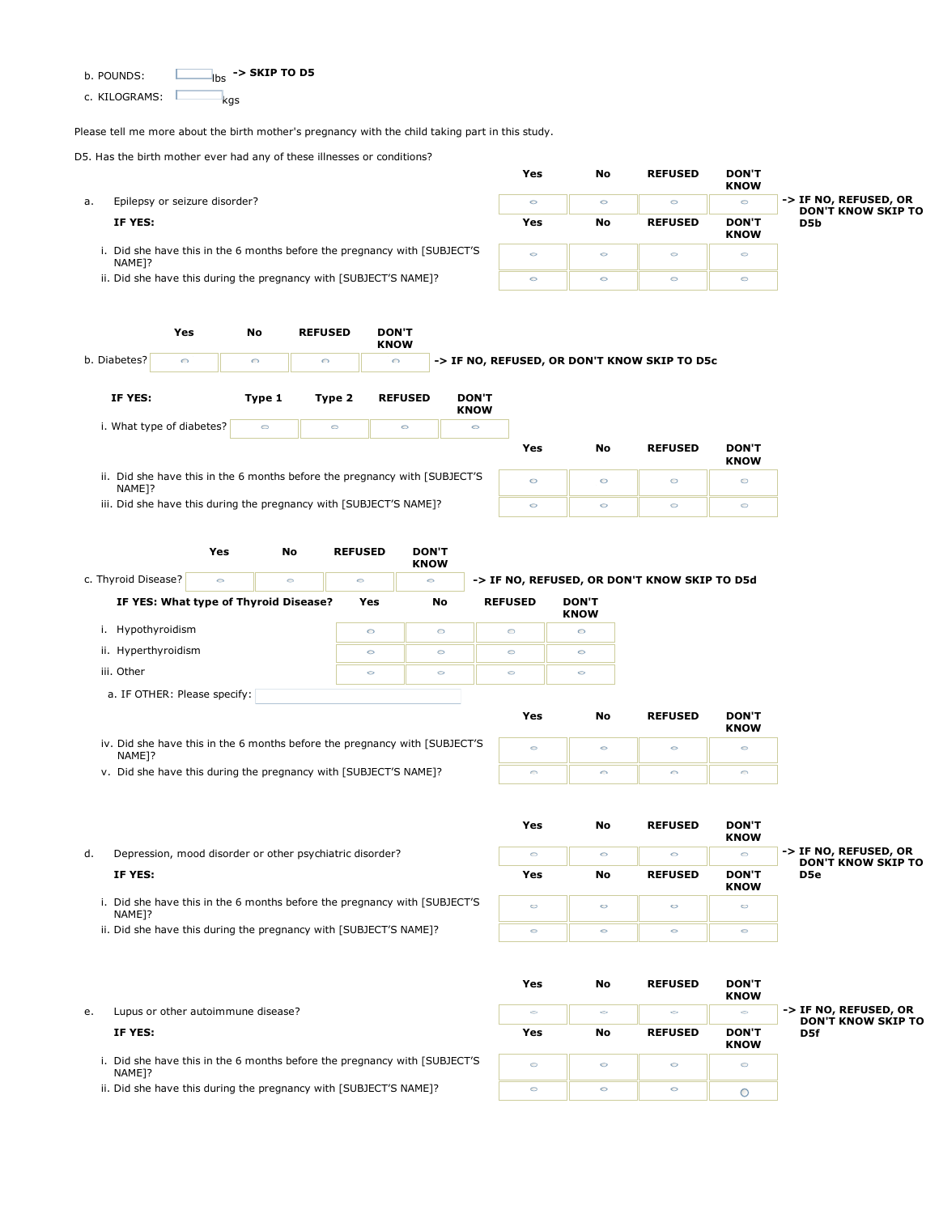b. POUNDS: **-> SKIP TO D5**

c. KILOGRAMS: kgs

Please tell me more about the birth mother's pregnancy with the child taking part in this study.

**Yes No REFUSED DON'T**

D5. Has the birth mother ever had any of these illnesses or conditions?

|    |                                                                                              | Yes     | No      | <b>REFUSED</b> | <b>DON'T</b><br><b>KNOW</b> |                                                    |
|----|----------------------------------------------------------------------------------------------|---------|---------|----------------|-----------------------------|----------------------------------------------------|
| a. | Epilepsy or seizure disorder?                                                                | $\circ$ | $\circ$ | $\circ$        | $\circ$                     | -> IF NO, REFUSED, OR<br><b>DON'T KNOW SKIP TO</b> |
|    | IF YES:                                                                                      | Yes     | No      | <b>REFUSED</b> | <b>DON'T</b><br><b>KNOW</b> | D5b                                                |
|    | Did she have this in the 6 months before the pregnancy with [SUBJECT'S<br>NAME <sub>1?</sub> | $\circ$ | $\circ$ | $\circ$        | $\circ$                     |                                                    |
|    | ii. Did she have this during the pregnancy with [SUBJECT'S NAME]?                            | $\circ$ | $\circ$ | $\circ$        | $\circ$                     |                                                    |

|                    | Yes                                                                        | No         | <b>REFUSED</b> | <b>DON'T</b><br><b>KNOW</b> |                             |         |         |                                              |                             |
|--------------------|----------------------------------------------------------------------------|------------|----------------|-----------------------------|-----------------------------|---------|---------|----------------------------------------------|-----------------------------|
| b. Diabetes?       | $\bigcirc$                                                                 | $\bigcirc$ | $\bigcirc$     | $\bigcirc$                  |                             |         |         | -> IF NO, REFUSED, OR DON'T KNOW SKIP TO D5c |                             |
| IF YES:            |                                                                            | Type 1     | Type 2         | <b>REFUSED</b>              | <b>DON'T</b><br><b>KNOW</b> |         |         |                                              |                             |
|                    | i. What type of diabetes?                                                  | $\circ$    | $\circ$        | $\circ$                     | $\circ$                     |         |         |                                              |                             |
|                    |                                                                            |            |                |                             |                             | Yes     | No      | <b>REFUSED</b>                               | <b>DON'T</b><br><b>KNOW</b> |
| NAME <sub>1?</sub> | ii. Did she have this in the 6 months before the pregnancy with [SUBJECT'S |            |                |                             |                             | $\circ$ | $\circ$ | $\circ$                                      | $\circ$                     |
|                    | iii. Did she have this during the pregnancy with [SUBJECT'S NAME]?         |            | $\circ$        | $\circ$                     | $\circ$                     | $\circ$ |         |                                              |                             |

**KNOW** c. Thyroid Disease? **-> IF NO, REFUSED, OR DON'T KNOW SKIP TO D5d**  $\overline{\bullet}$  $\overline{\bullet}$  $\ddot{\circ}$ IF YES: What type of Thyroid Disease? Yes No REFUSED DON'T **KNOW** i. Hypothyroidism  $\circ$  $\circ$  $\circ$  $\circ$  ii. Hyperthyroidism  $\circ$  $\circ$  $\circ$  $\circ$  iii. Other  $\circ$  $\overline{\circ}$  $\circ$  $\circ$  a. IF OTHER: Please specify: **Yes No REFUSED DON'T KNOW** iv. Did she have this in the 6 months before the pregnancy with [SUBJECT'S  $\circ$  $\circ$  $\circ$  $\circ$ NAME]?

v. Did she have this during the pregnancy with [SUBJECT'S NAME]?

d. Depression, mood disorder or other psychiatric disorder?

|                                                                                              | Yes     | No      | <b>REFUSED</b> | <b>DON'T</b><br><b>KNOW</b> |                                                    |
|----------------------------------------------------------------------------------------------|---------|---------|----------------|-----------------------------|----------------------------------------------------|
| Depression, mood disorder or other psychiatric disorder?                                     | $\circ$ | $\circ$ | $\circ$        | $\circ$                     | -> IF NO, REFUSED, OR<br><b>DON'T KNOW SKIP TO</b> |
| IF YES:                                                                                      | Yes     | No      | <b>REFUSED</b> | <b>DON'T</b><br><b>KNOW</b> | D5e                                                |
| Did she have this in the 6 months before the pregnancy with [SUBJECT'S<br>NAME <sub>1?</sub> | $\circ$ | O       | $\circ$        | O                           |                                                    |
| Did she have this during the pregnancy with [SUBJECT'S NAME]?                                | $\circ$ | $\circ$ | $\circ$        | $\circ$                     |                                                    |

 $\odot$ 

 $\circ$ 

|    |                                                                                              | Yes     | No      | <b>REFUSED</b> | <b>DON'T</b><br><b>KNOW</b> |                                                    |
|----|----------------------------------------------------------------------------------------------|---------|---------|----------------|-----------------------------|----------------------------------------------------|
| e. | Lupus or other autoimmune disease?                                                           | $\circ$ | $\circ$ | $\circ$        | $\circ$                     | -> IF NO, REFUSED, OR<br><b>DON'T KNOW SKIP TO</b> |
|    | IF YES:                                                                                      | Yes     | No      | <b>REFUSED</b> | <b>DON'T</b><br><b>KNOW</b> | D5f                                                |
|    | Did she have this in the 6 months before the pregnancy with [SUBJECT'S<br>NAME <sub>1?</sub> | $\circ$ | $\circ$ | $\circ$        | $\circ$                     |                                                    |
|    | ii. Did she have this during the pregnancy with [SUBJECT'S NAME]?                            | $\circ$ | $\circ$ | $\circ$        |                             |                                                    |

 $\odot$ 

 $\odot$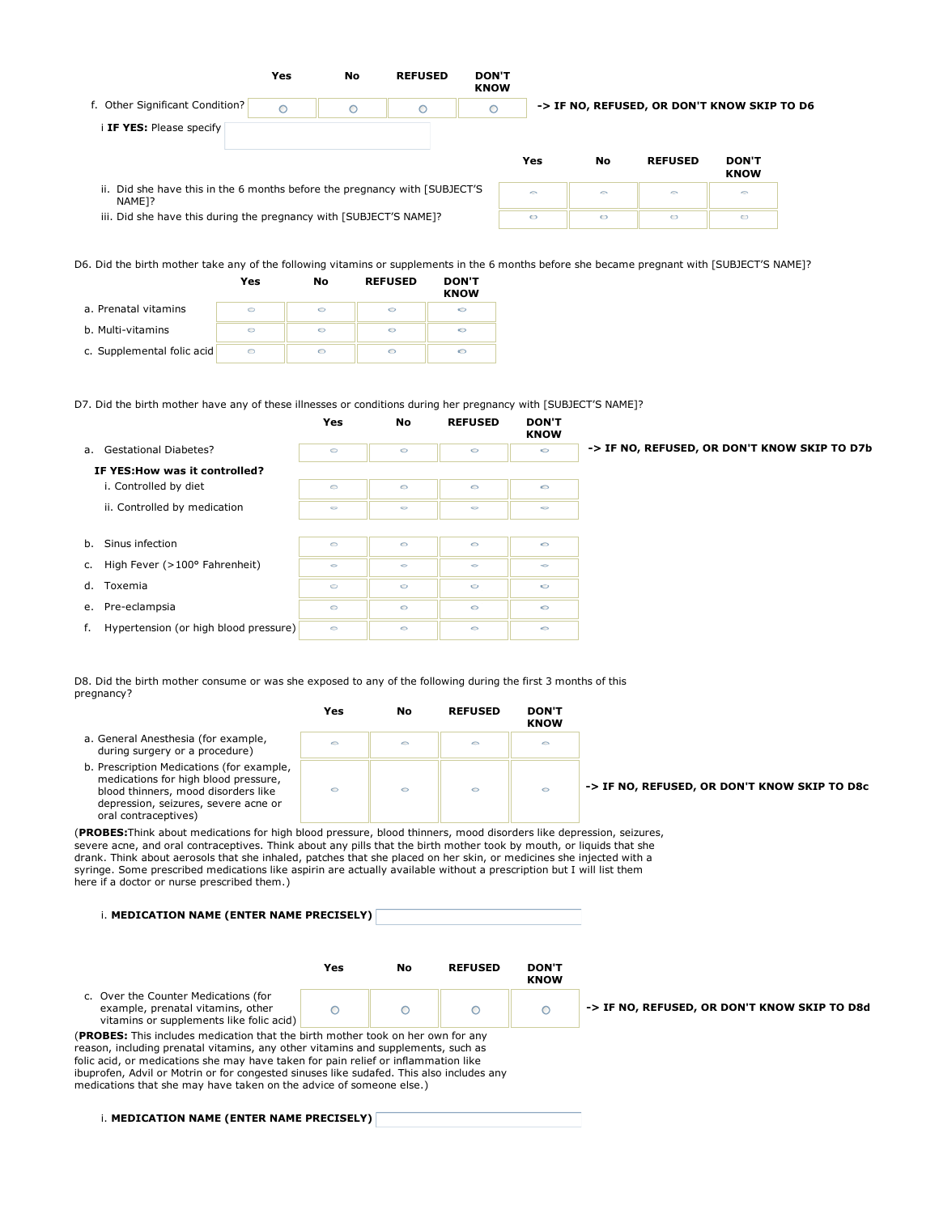|                                                                                                  | Yes     | No      | <b>REFUSED</b> | <b>DON'T</b><br><b>KNOW</b> |         |           |                                             |                        |  |
|--------------------------------------------------------------------------------------------------|---------|---------|----------------|-----------------------------|---------|-----------|---------------------------------------------|------------------------|--|
| f. Other Significant Condition?                                                                  | $\circ$ | $\circ$ |                | $\circ$                     |         |           | -> IF NO, REFUSED, OR DON'T KNOW SKIP TO D6 |                        |  |
| <b>IF YES:</b> Please specify                                                                    |         |         |                |                             | Yes     | <b>No</b> | <b>REFUSED</b>                              | <b>DON'T</b>           |  |
| ii. Did she have this in the 6 months before the pregnancy with [SUBJECT'S<br>NAME <sub>1?</sub> |         |         |                |                             | $\circ$ | $\circ$   | $\triangleright$                            | <b>KNOW</b><br>$\circ$ |  |
| iii. Did she have this during the pregnancy with [SUBJECT'S NAME]?                               |         |         |                |                             | $\circ$ | $\circ$   | O                                           | O                      |  |

D6. Did the birth mother take any of the following vitamins or supplements in the 6 months before she became pregnant with [SUBJECT'S NAME]?

|                            | Yes | No | <b>REFUSED</b> | <b>DON'T</b><br><b>KNOW</b> |
|----------------------------|-----|----|----------------|-----------------------------|
| a. Prenatal vitamins       |     | O  |                |                             |
| b. Multi-vitamins          |     | ⊖  | ⊖              | ⇔                           |
| c. Supplemental folic acid |     | ⊖  |                |                             |

D7. Did the birth mother have any of these illnesses or conditions during her pregnancy with [SUBJECT'S NAME]?

|    |                                       | Yes     | <b>No</b> | <b>REFUSED</b> | <b>DON'T</b><br><b>KNOW</b> |                                              |
|----|---------------------------------------|---------|-----------|----------------|-----------------------------|----------------------------------------------|
| a. | <b>Gestational Diabetes?</b>          | $\circ$ | $\circ$   | $\circ$        | $\circ$                     | -> IF NO, REFUSED, OR DON'T KNOW SKIP TO D7b |
|    | IF YES: How was it controlled?        |         |           |                |                             |                                              |
|    | i. Controlled by diet                 | $\circ$ | $\circ$   | $\circ$        | $\circ$                     |                                              |
|    | ii. Controlled by medication          | $\circ$ | $\circ$   | $\circ$        | $\circ$                     |                                              |
|    |                                       |         |           |                |                             |                                              |
| b. | Sinus infection                       | $\circ$ | $\circ$   | $\circ$        | $\circ$                     |                                              |
| c. | High Fever (>100° Fahrenheit)         | $\circ$ | $\circ$   | $\circ$        | $\circ$                     |                                              |
| d. | Toxemia                               | $\circ$ | $\circ$   | $\circ$        | $\circ$                     |                                              |
| e. | Pre-eclampsia                         | $\circ$ | $\circ$   | $\circ$        | $\circ$                     |                                              |
| f. | Hypertension (or high blood pressure) | $\circ$ | $\circ$   | $\circ$        | $\circ$                     |                                              |

D8. Did the birth mother consume or was she exposed to any of the following during the first 3 months of this pregnancy?

|                                                                                                                                                                                          | Yes     | No | <b>REFUSED</b> | <b>DON'T</b><br><b>KNOW</b> |                                              |
|------------------------------------------------------------------------------------------------------------------------------------------------------------------------------------------|---------|----|----------------|-----------------------------|----------------------------------------------|
| a. General Anesthesia (for example,<br>during surgery or a procedure)                                                                                                                    | $\circ$ |    | $\circ$        | 0                           |                                              |
| b. Prescription Medications (for example,<br>medications for high blood pressure,<br>blood thinners, mood disorders like<br>depression, seizures, severe acne or<br>oral contraceptives) | $\circ$ |    | $\circ$        | Ó                           | -> IF NO, REFUSED, OR DON'T KNOW SKIP TO D8c |

(**PROBES:**Think about medications for high blood pressure, blood thinners, mood disorders like depression, seizures, severe acne, and oral contraceptives. Think about any pills that the birth mother took by mouth, or liquids that she drank. Think about aerosols that she inhaled, patches that she placed on her skin, or medicines she injected with a syringe. Some prescribed medications like aspirin are actually available without a prescription but I will list them here if a doctor or nurse prescribed them.)

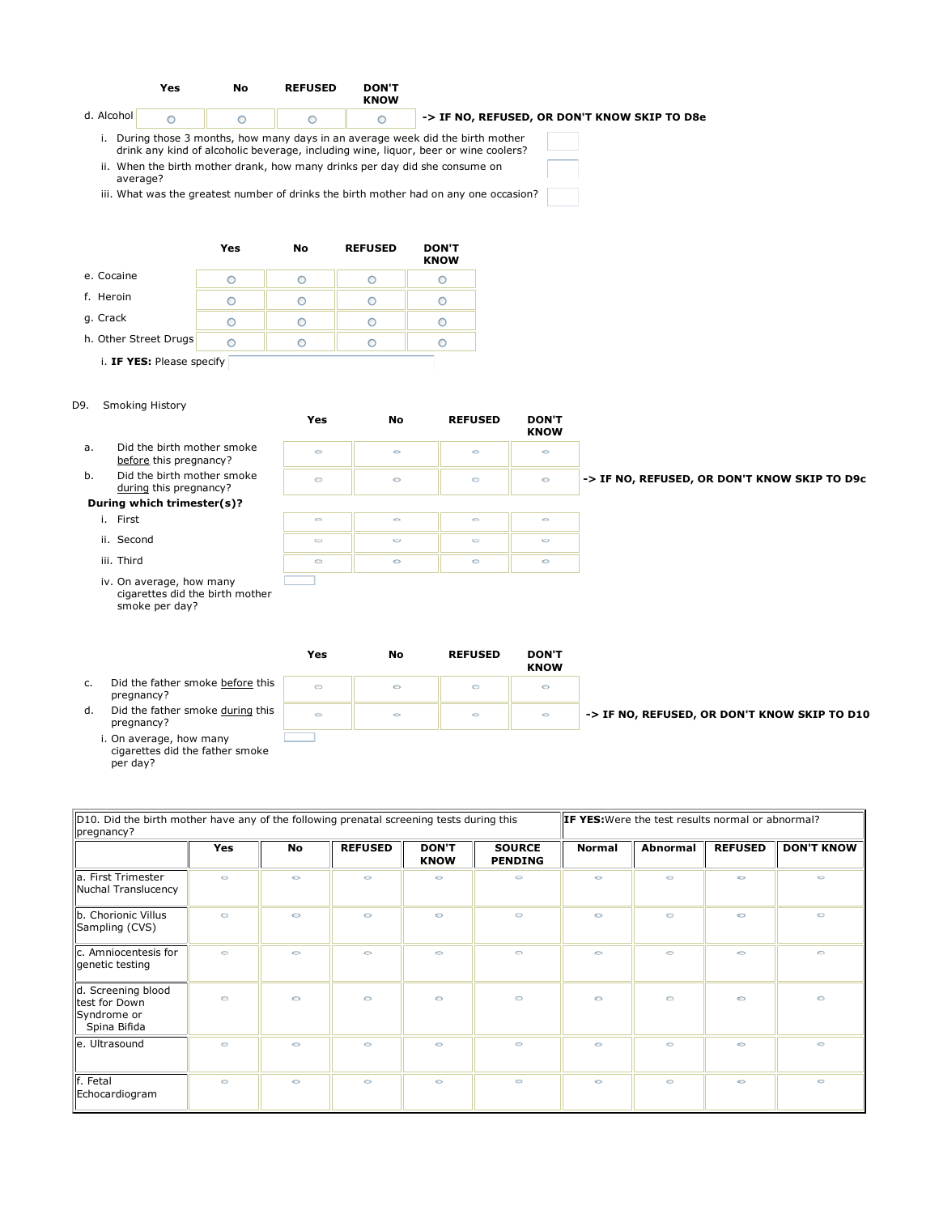



D9. Smoking History

per day?

**Yes No REFUSED DON'T KNOW** a. Did the birth mother smoke  $\circ$  $\circ$  $\circ$  $\bullet$ before this pregnancy? b. Did the birth mother smoke **-> IF NO, REFUSED, OR DON'T KNOW SKIP TO D9c**  $\circ$  $\circ$  $\circ$  $\ddot{\circ}$ during this pregnancy? **During which trimester(s)?** i. First  $\circ$  $\circ$  $\circ$  $\circ$  ii. Second  $\circ$  $\circ$  $\circ$  $\circ$  iii. Third  $\circ$  $\circ$  $\circ$  $\circ$  iv. On average, how many cigarettes did the birth mother smoke per day?

|    |                                                           | Yes     | No      | <b>REFUSED</b> | <b>DON'T</b><br><b>KNOW</b> |                                              |
|----|-----------------------------------------------------------|---------|---------|----------------|-----------------------------|----------------------------------------------|
| c. | Did the father smoke before this<br>pregnancy?            | $\circ$ | $\circ$ | $\circ$        | $\circ$                     |                                              |
| d. | Did the father smoke during this<br>pregnancy?            | $\circ$ | $\circ$ | $\circ$        | $\circ$                     | -> IF NO, REFUSED, OR DON'T KNOW SKIP TO D10 |
|    | . On average, how many<br>cigarettes did the father smoke |         |         |                |                             |                                              |

| D10. Did the birth mother have any of the following prenatal screening tests during this<br>pregnancy? |            |           |                |                             | <b>IF YES:</b> Were the test results normal or abnormal? |               |                 |                |                   |
|--------------------------------------------------------------------------------------------------------|------------|-----------|----------------|-----------------------------|----------------------------------------------------------|---------------|-----------------|----------------|-------------------|
|                                                                                                        | <b>Yes</b> | <b>No</b> | <b>REFUSED</b> | <b>DON'T</b><br><b>KNOW</b> | <b>SOURCE</b><br><b>PENDING</b>                          | <b>Normal</b> | <b>Abnormal</b> | <b>REFUSED</b> | <b>DON'T KNOW</b> |
| a. First Trimester<br>Nuchal Translucency                                                              | $\circ$    | $\circ$   | $\circ$        | $\circ$                     | $\circ$                                                  | $\circ$       | $\circ$         | $\circ$        | $\circ$           |
| b. Chorionic Villus<br>Sampling (CVS)                                                                  | $\circ$    | $\circ$   | $\circ$        | $\circ$                     | $\circ$                                                  | $\circ$       | $\circ$         | $\circ$        | $\circ$           |
| c. Amniocentesis for<br>genetic testing                                                                | $\circ$    | $\supset$ | $\circ$        | $\circ$                     | $\bigcirc$                                               | $\circ$       | $\circ$         | $\sim$         | $\bigcirc$        |
| d. Screening blood<br>test for Down<br>Syndrome or<br>Spina Bifida                                     | $\circ$    | $\circ$   | $\circ$        | $\circ$                     | $\circ$                                                  | $\circ$       | $\circ$         | $\circ$        | $\circ$           |
| e. Ultrasound                                                                                          | $\circ$    | $\circ$   | $\circ$        | $\circ$                     | $\circ$                                                  | $\circ$       | $\circ$         | $\circ$        | $\circ$           |
| f. Fetal<br>Echocardiogram                                                                             | $\circ$    | $\circ$   | $\circ$        | $\circ$                     | $\circ$                                                  | $\circ$       | $\circ$         | $\circ$        | $\circ$           |